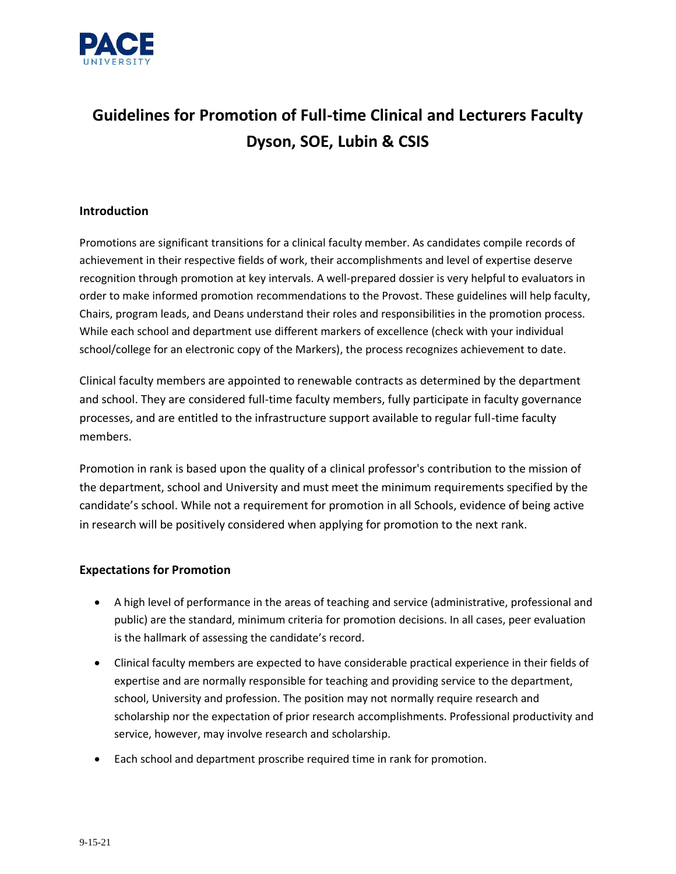

# **Guidelines for Promotion of Full-time Clinical and Lecturers Faculty Dyson, SOE, Lubin & CSIS**

## **Introduction**

Promotions are significant transitions for a clinical faculty member. As candidates compile records of achievement in their respective fields of work, their accomplishments and level of expertise deserve recognition through promotion at key intervals. A well-prepared dossier is very helpful to evaluators in order to make informed promotion recommendations to the Provost. These guidelines will help faculty, Chairs, program leads, and Deans understand their roles and responsibilities in the promotion process. While each school and department use different markers of excellence (check with your individual school/college for an electronic copy of the Markers), the process recognizes achievement to date.

Clinical faculty members are appointed to renewable contracts as determined by the department and school. They are considered full-time faculty members, fully participate in faculty governance processes, and are entitled to the infrastructure support available to regular full-time faculty members.

Promotion in rank is based upon the quality of a clinical professor's contribution to the mission of the department, school and University and must meet the minimum requirements specified by the candidate's school. While not a requirement for promotion in all Schools, evidence of being active in research will be positively considered when applying for promotion to the next rank.

### **Expectations for Promotion**

- A high level of performance in the areas of teaching and service (administrative, professional and public) are the standard, minimum criteria for promotion decisions. In all cases, peer evaluation is the hallmark of assessing the candidate's record.
- Clinical faculty members are expected to have considerable practical experience in their fields of expertise and are normally responsible for teaching and providing service to the department, school, University and profession. The position may not normally require research and scholarship nor the expectation of prior research accomplishments. Professional productivity and service, however, may involve research and scholarship.
- Each school and department proscribe required time in rank for promotion.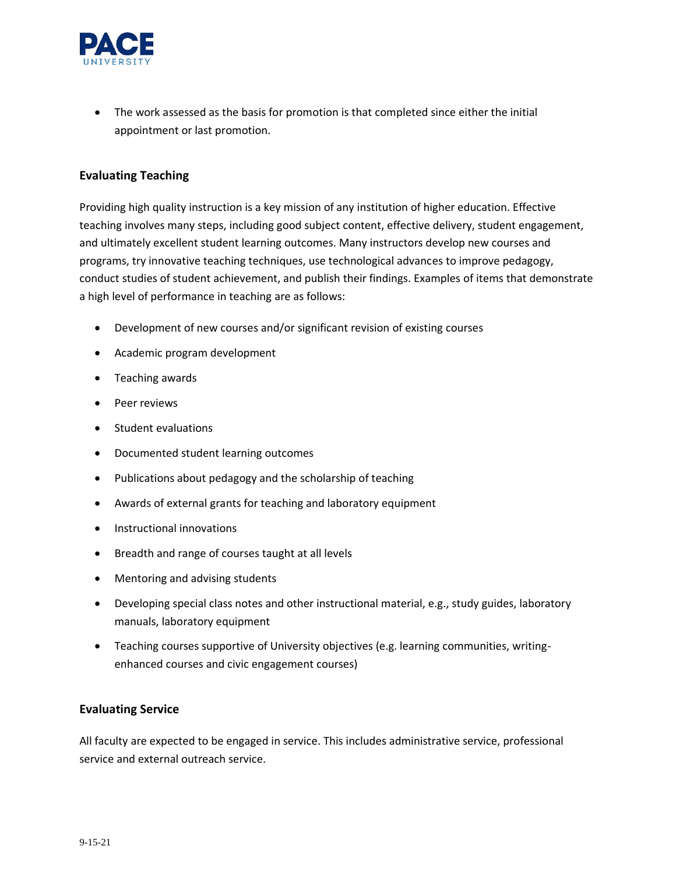

• The work assessed as the basis for promotion is that completed since either the initial appointment or last promotion.

### **Evaluating Teaching**

Providing high quality instruction is a key mission of any institution of higher education. Effective teaching involves many steps, including good subject content, effective delivery, student engagement, and ultimately excellent student learning outcomes. Many instructors develop new courses and programs, try innovative teaching techniques, use technological advances to improve pedagogy, conduct studies of student achievement, and publish their findings. Examples of items that demonstrate a high level of performance in teaching are as follows:

- Development of new courses and/or significant revision of existing courses
- Academic program development
- Teaching awards
- Peer reviews
- Student evaluations
- Documented student learning outcomes
- Publications about pedagogy and the scholarship of teaching
- Awards of external grants for teaching and laboratory equipment
- Instructional innovations
- Breadth and range of courses taught at all levels
- Mentoring and advising students
- Developing special class notes and other instructional material, e.g., study guides, laboratory manuals, laboratory equipment
- Teaching courses supportive of University objectives (e.g. learning communities, writingenhanced courses and civic engagement courses)

### **Evaluating Service**

All faculty are expected to be engaged in service. This includes administrative service, professional service and external outreach service.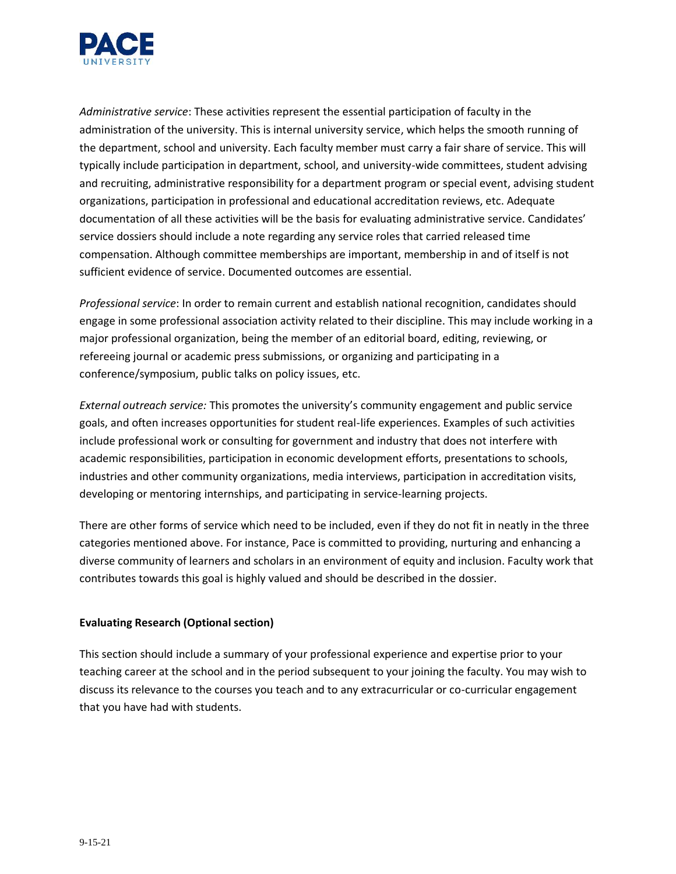

*Administrative service*: These activities represent the essential participation of faculty in the administration of the university. This is internal university service, which helps the smooth running of the department, school and university. Each faculty member must carry a fair share of service. This will typically include participation in department, school, and university-wide committees, student advising and recruiting, administrative responsibility for a department program or special event, advising student organizations, participation in professional and educational accreditation reviews, etc. Adequate documentation of all these activities will be the basis for evaluating administrative service. Candidates' service dossiers should include a note regarding any service roles that carried released time compensation. Although committee memberships are important, membership in and of itself is not sufficient evidence of service. Documented outcomes are essential.

*Professional service*: In order to remain current and establish national recognition, candidates should engage in some professional association activity related to their discipline. This may include working in a major professional organization, being the member of an editorial board, editing, reviewing, or refereeing journal or academic press submissions, or organizing and participating in a conference/symposium, public talks on policy issues, etc.

*External outreach service:* This promotes the university's community engagement and public service goals, and often increases opportunities for student real-life experiences. Examples of such activities include professional work or consulting for government and industry that does not interfere with academic responsibilities, participation in economic development efforts, presentations to schools, industries and other community organizations, media interviews, participation in accreditation visits, developing or mentoring internships, and participating in service-learning projects.

There are other forms of service which need to be included, even if they do not fit in neatly in the three categories mentioned above. For instance, Pace is committed to providing, nurturing and enhancing a diverse community of learners and scholars in an environment of equity and inclusion. Faculty work that contributes towards this goal is highly valued and should be described in the dossier.

### **Evaluating Research (Optional section)**

This section should include a summary of your professional experience and expertise prior to your teaching career at the school and in the period subsequent to your joining the faculty. You may wish to discuss its relevance to the courses you teach and to any extracurricular or co-curricular engagement that you have had with students.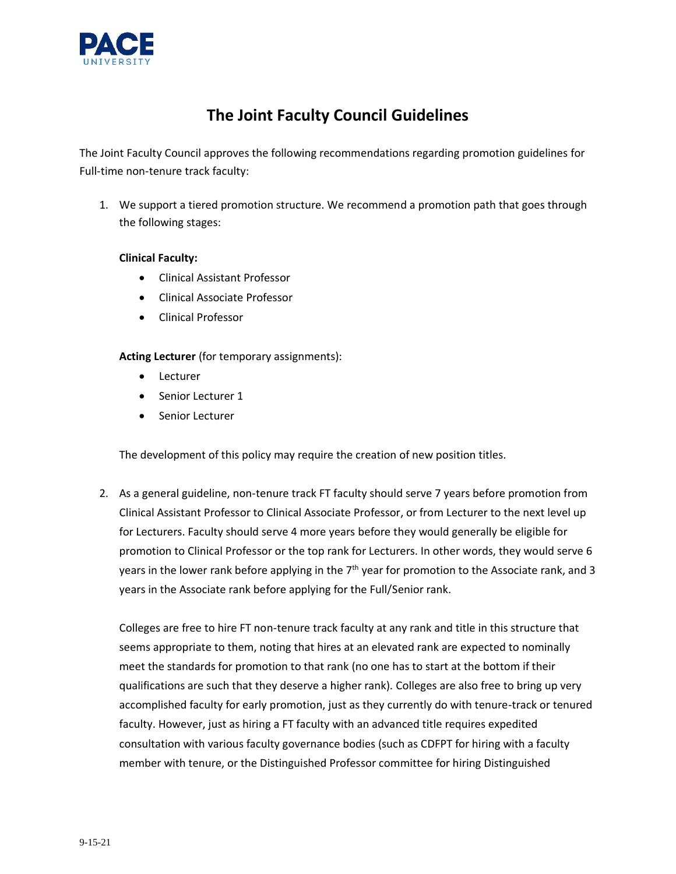

# **The Joint Faculty Council Guidelines**

The Joint Faculty Council approves the following recommendations regarding promotion guidelines for Full-time non-tenure track faculty:

1. We support a tiered promotion structure. We recommend a promotion path that goes through the following stages:

### **Clinical Faculty:**

- Clinical Assistant Professor
- Clinical Associate Professor
- Clinical Professor

**Acting Lecturer** (for temporary assignments):

- Lecturer
- Senior Lecturer 1
- Senior Lecturer

The development of this policy may require the creation of new position titles.

2. As a general guideline, non-tenure track FT faculty should serve 7 years before promotion from Clinical Assistant Professor to Clinical Associate Professor, or from Lecturer to the next level up for Lecturers. Faculty should serve 4 more years before they would generally be eligible for promotion to Clinical Professor or the top rank for Lecturers. In other words, they would serve 6 years in the lower rank before applying in the 7<sup>th</sup> year for promotion to the Associate rank, and 3 years in the Associate rank before applying for the Full/Senior rank.

Colleges are free to hire FT non-tenure track faculty at any rank and title in this structure that seems appropriate to them, noting that hires at an elevated rank are expected to nominally meet the standards for promotion to that rank (no one has to start at the bottom if their qualifications are such that they deserve a higher rank). Colleges are also free to bring up very accomplished faculty for early promotion, just as they currently do with tenure-track or tenured faculty. However, just as hiring a FT faculty with an advanced title requires expedited consultation with various faculty governance bodies (such as CDFPT for hiring with a faculty member with tenure, or the Distinguished Professor committee for hiring Distinguished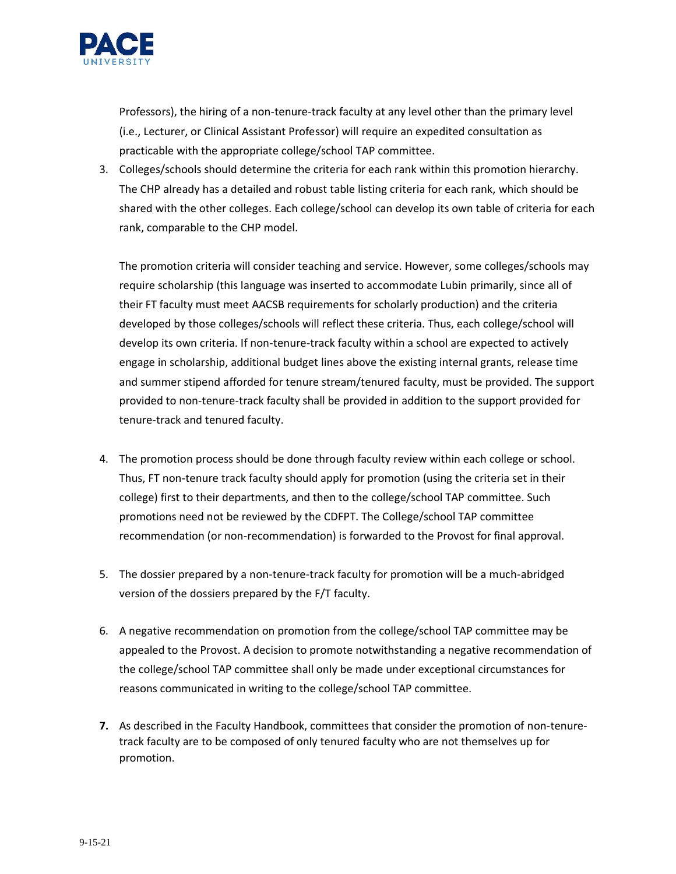

Professors), the hiring of a non-tenure-track faculty at any level other than the primary level (i.e., Lecturer, or Clinical Assistant Professor) will require an expedited consultation as practicable with the appropriate college/school TAP committee.

3. Colleges/schools should determine the criteria for each rank within this promotion hierarchy. The CHP already has a detailed and robust table listing criteria for each rank, which should be shared with the other colleges. Each college/school can develop its own table of criteria for each rank, comparable to the CHP model.

The promotion criteria will consider teaching and service. However, some colleges/schools may require scholarship (this language was inserted to accommodate Lubin primarily, since all of their FT faculty must meet AACSB requirements for scholarly production) and the criteria developed by those colleges/schools will reflect these criteria. Thus, each college/school will develop its own criteria. If non-tenure-track faculty within a school are expected to actively engage in scholarship, additional budget lines above the existing internal grants, release time and summer stipend afforded for tenure stream/tenured faculty, must be provided. The support provided to non-tenure-track faculty shall be provided in addition to the support provided for tenure-track and tenured faculty.

- 4. The promotion process should be done through faculty review within each college or school. Thus, FT non-tenure track faculty should apply for promotion (using the criteria set in their college) first to their departments, and then to the college/school TAP committee. Such promotions need not be reviewed by the CDFPT. The College/school TAP committee recommendation (or non-recommendation) is forwarded to the Provost for final approval.
- 5. The dossier prepared by a non-tenure-track faculty for promotion will be a much-abridged version of the dossiers prepared by the F/T faculty.
- 6. A negative recommendation on promotion from the college/school TAP committee may be appealed to the Provost. A decision to promote notwithstanding a negative recommendation of the college/school TAP committee shall only be made under exceptional circumstances for reasons communicated in writing to the college/school TAP committee.
- **7.** As described in the Faculty Handbook, committees that consider the promotion of non-tenuretrack faculty are to be composed of only tenured faculty who are not themselves up for promotion.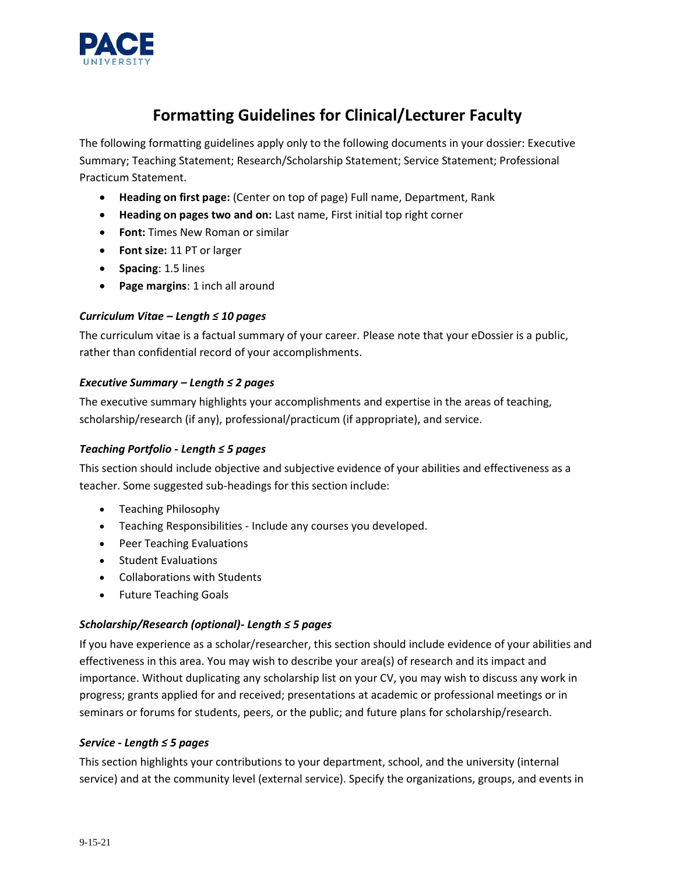

# **Formatting Guidelines for Clinical/Lecturer Faculty**

The following formatting guidelines apply only to the following documents in your dossier: Executive Summary; Teaching Statement; Research/Scholarship Statement; Service Statement; Professional Practicum Statement.

- **Heading on first page:** (Center on top of page) Full name, Department, Rank
- **Heading on pages two and on:** Last name, First initial top right corner
- **Font:** Times New Roman or similar
- **Font size:** 11 PT or larger
- **Spacing**: 1.5 lines
- **Page margins**: 1 inch all around

### *Curriculum Vitae – Length ≤ 10 pages*

The curriculum vitae is a factual summary of your career. Please note that your eDossier is a public, rather than confidential record of your accomplishments.

#### *Executive Summary – Length ≤ 2 pages*

The executive summary highlights your accomplishments and expertise in the areas of teaching, scholarship/research (if any), professional/practicum (if appropriate), and service.

### *Teaching Portfolio - Length ≤ 5 pages*

This section should include objective and subjective evidence of your abilities and effectiveness as a teacher. Some suggested sub-headings for this section include:

- Teaching Philosophy
- Teaching Responsibilities Include any courses you developed.
- Peer Teaching Evaluations
- Student Evaluations
- Collaborations with Students
- Future Teaching Goals

### *Scholarship/Research (optional)- Length ≤ 5 pages*

If you have experience as a scholar/researcher, this section should include evidence of your abilities and effectiveness in this area. You may wish to describe your area(s) of research and its impact and importance. Without duplicating any scholarship list on your CV, you may wish to discuss any work in progress; grants applied for and received; presentations at academic or professional meetings or in seminars or forums for students, peers, or the public; and future plans for scholarship/research.

### *Service - Length ≤ 5 pages*

This section highlights your contributions to your department, school, and the university (internal service) and at the community level (external service). Specify the organizations, groups, and events in